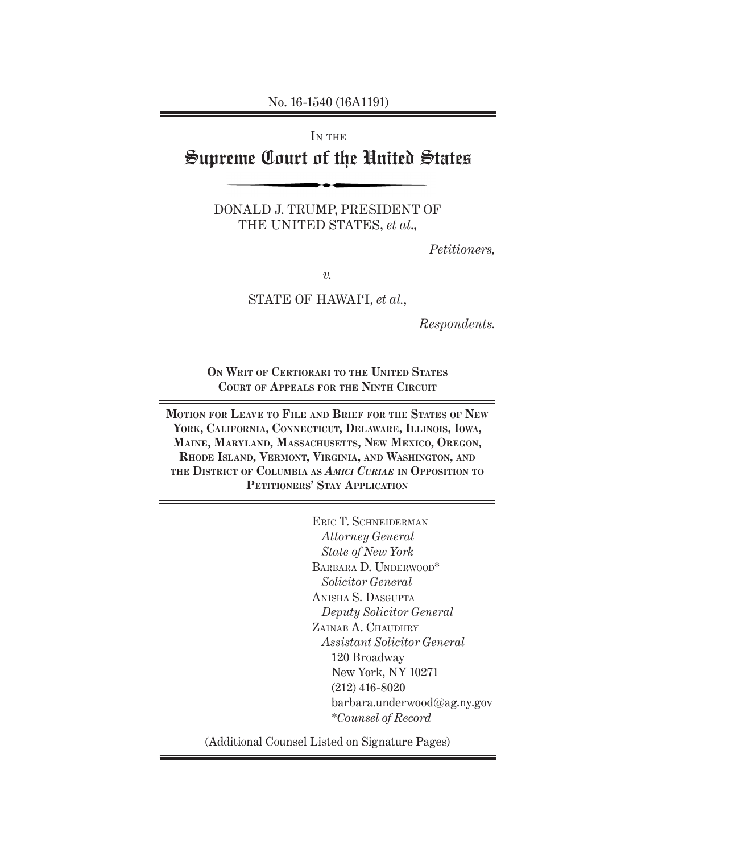No. 16-1540 (16A1191)

IN THE

# Supreme Court of the United States

DONALD J. TRUMP, PRESIDENT OF THE UNITED STATES, *et al*.,

*Petitioners,*

*v.*

STATE OF HAWAI'I, *et al.*,

*Respondents.*

**On Writ of Certiorari to the United States Court of Appeals for the Ninth Circuit**

**Motion for Leave to File and Brief for the States of New York, California, Connecticut, Delaware, Illinois, Iowa, Maine, Maryland, Massachusetts, New Mexico, Oregon, Rhode Island, Vermont, Virginia, and Washington, and the District of Columbia as** *Amici Curiae* **in Opposition to Petitioners' Stay Application**

> Eric T. Schneiderman *Attorney General State of New York* BARBARA D. UNDERWOOD\* *Solicitor General* Anisha S. Dasgupta *Deputy Solicitor General* ZAINAB A. CHAUDHRY *Assistant Solicitor General* 120 Broadway New York, NY 10271 (212) 416-8020 barbara.underwood@ag.ny.gov \**Counsel of Record*

(Additional Counsel Listed on Signature Pages)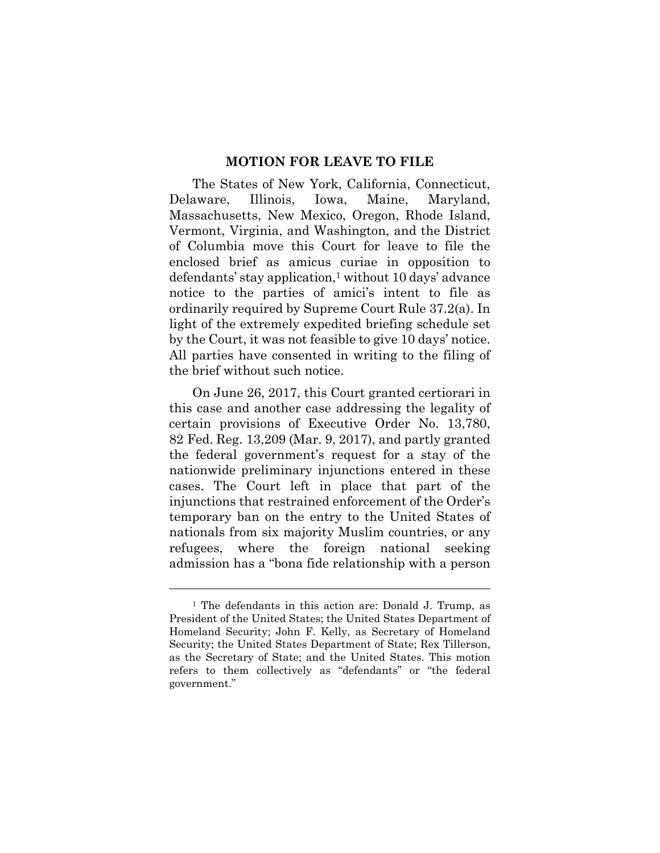#### **MOTION FOR LEAVE TO FILE**

The States of New York, California, Connecticut, Delaware, Illinois, Iowa, Maine, Maryland, Massachusetts, New Mexico, Oregon, Rhode Island, Vermont, Virginia, and Washington, and the District of Columbia move this Court for leave to file the enclosed brief as amicus curiae in opposition to defendants' stay application,1 without 10 days' advance notice to the parties of amici's intent to file as ordinarily required by Supreme Court Rule 37.2(a). In light of the extremely expedited briefing schedule set by the Court, it was not feasible to give 10 days' notice. All parties have consented in writing to the filing of the brief without such notice.

On June 26, 2017, this Court granted certiorari in this case and another case addressing the legality of certain provisions of Executive Order No. 13,780, 82 Fed. Reg. 13,209 (Mar. 9, 2017), and partly granted the federal government's request for a stay of the nationwide preliminary injunctions entered in these cases. The Court left in place that part of the injunctions that restrained enforcement of the Order's temporary ban on the entry to the United States of nationals from six majority Muslim countries, or any refugees, where the foreign national seeking admission has a "bona fide relationship with a person

<sup>&</sup>lt;sup>1</sup> The defendants in this action are: Donald J. Trump, as President of the United States; the United States Department of Homeland Security; John F. Kelly, as Secretary of Homeland Security; the United States Department of State; Rex Tillerson, as the Secretary of State; and the United States. This motion refers to them collectively as "defendants" or "the federal government."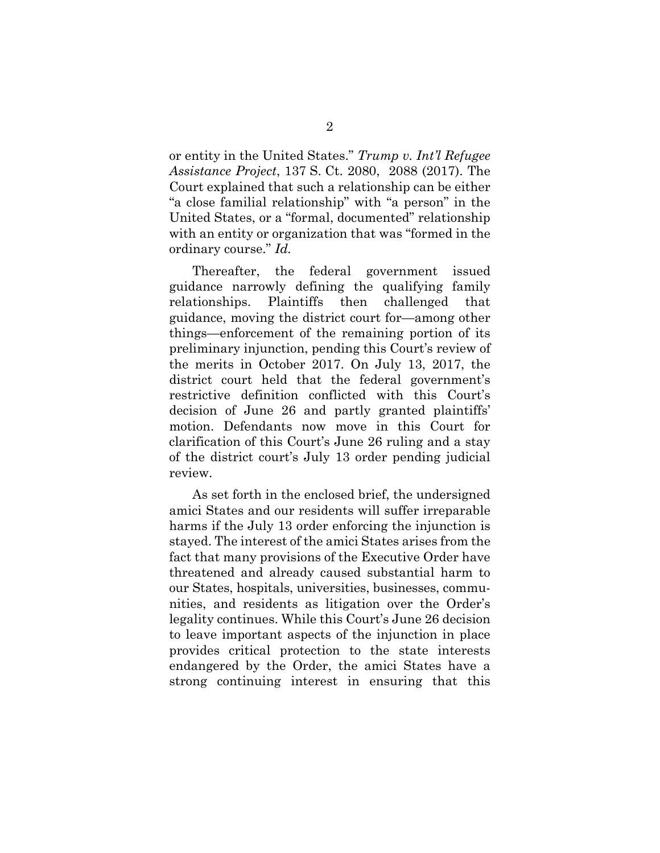or entity in the United States." *Trump v. Int'l Refugee Assistance Project*, 137 S. Ct. 2080, 2088 (2017). The Court explained that such a relationship can be either "a close familial relationship" with "a person" in the United States, or a "formal, documented" relationship with an entity or organization that was "formed in the ordinary course." *Id.*

Thereafter, the federal government issued guidance narrowly defining the qualifying family relationships. Plaintiffs then challenged that guidance, moving the district court for—among other things—enforcement of the remaining portion of its preliminary injunction, pending this Court's review of the merits in October 2017. On July 13, 2017, the district court held that the federal government's restrictive definition conflicted with this Court's decision of June 26 and partly granted plaintiffs' motion. Defendants now move in this Court for clarification of this Court's June 26 ruling and a stay of the district court's July 13 order pending judicial review.

As set forth in the enclosed brief, the undersigned amici States and our residents will suffer irreparable harms if the July 13 order enforcing the injunction is stayed. The interest of the amici States arises from the fact that many provisions of the Executive Order have threatened and already caused substantial harm to our States, hospitals, universities, businesses, communities, and residents as litigation over the Order's legality continues. While this Court's June 26 decision to leave important aspects of the injunction in place provides critical protection to the state interests endangered by the Order, the amici States have a strong continuing interest in ensuring that this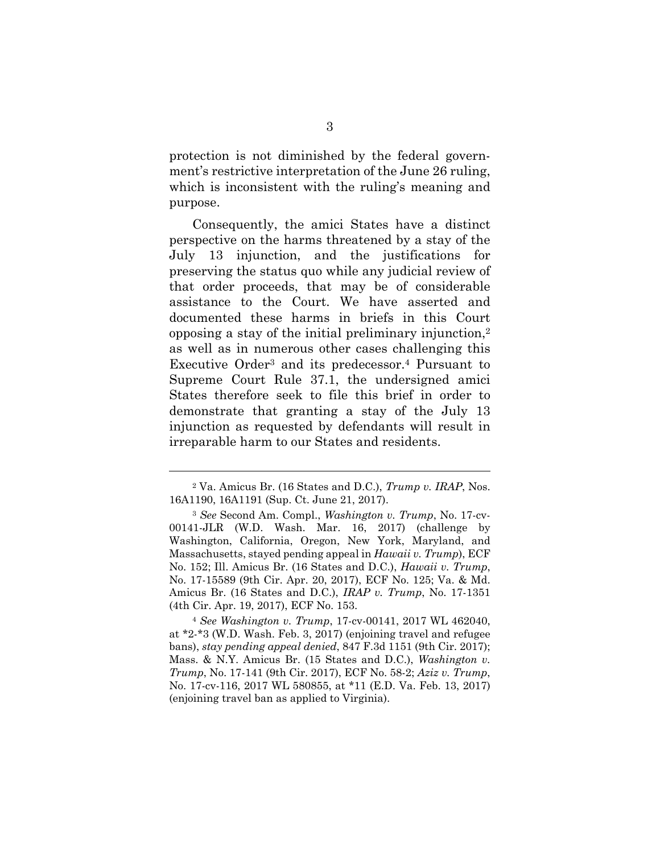protection is not diminished by the federal government's restrictive interpretation of the June 26 ruling, which is inconsistent with the ruling's meaning and purpose.

Consequently, the amici States have a distinct perspective on the harms threatened by a stay of the July 13 injunction, and the justifications for preserving the status quo while any judicial review of that order proceeds, that may be of considerable assistance to the Court. We have asserted and documented these harms in briefs in this Court opposing a stay of the initial preliminary injunction,2 as well as in numerous other cases challenging this Executive Order3 and its predecessor.4 Pursuant to Supreme Court Rule 37.1, the undersigned amici States therefore seek to file this brief in order to demonstrate that granting a stay of the July 13 injunction as requested by defendants will result in irreparable harm to our States and residents.

l

<sup>4</sup> *See Washington v. Trump*, 17-cv-00141, 2017 WL 462040, at \*2-\*3 (W.D. Wash. Feb. 3, 2017) (enjoining travel and refugee bans), *stay pending appeal denied*, 847 F.3d 1151 (9th Cir. 2017); Mass. & N.Y. Amicus Br. (15 States and D.C.), *Washington v. Trump*, No. 17-141 (9th Cir. 2017), ECF No. 58-2; *Aziz v. Trump*, No. 17-cv-116, 2017 WL 580855, at \*11 (E.D. Va. Feb. 13, 2017) (enjoining travel ban as applied to Virginia).

<sup>2</sup> Va. Amicus Br. (16 States and D.C.), *Trump v. IRAP*, Nos. 16A1190, 16A1191 (Sup. Ct. June 21, 2017).

<sup>3</sup> *See* Second Am. Compl., *Washington v. Trump*, No. 17-cv-00141-JLR (W.D. Wash. Mar. 16, 2017) (challenge by Washington, California, Oregon, New York, Maryland, and Massachusetts, stayed pending appeal in *Hawaii v. Trump*), ECF No. 152; Ill. Amicus Br. (16 States and D.C.), *Hawaii v. Trump*, No. 17-15589 (9th Cir. Apr. 20, 2017), ECF No. 125; Va. & Md. Amicus Br. (16 States and D.C.), *IRAP v. Trump*, No. 17-1351 (4th Cir. Apr. 19, 2017), ECF No. 153.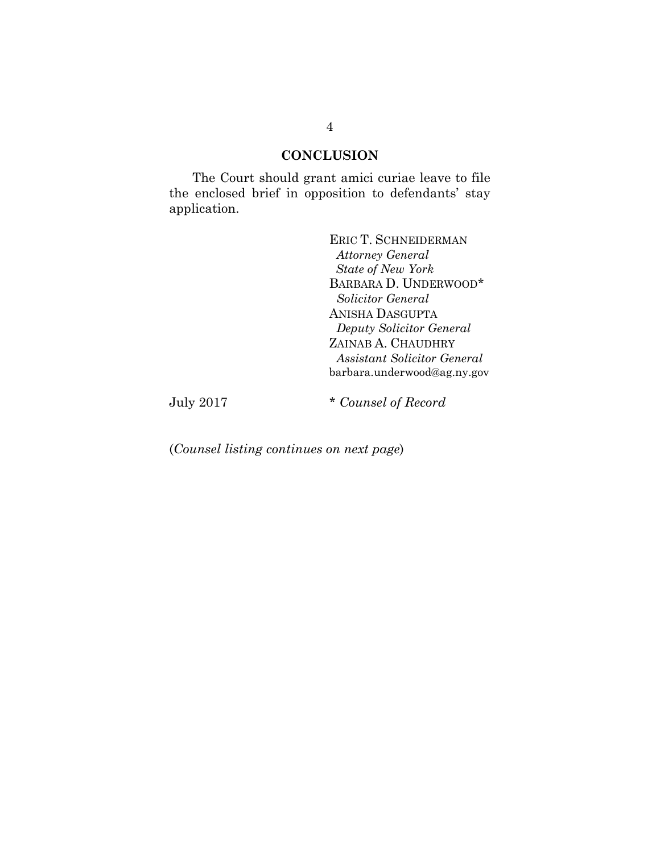### **CONCLUSION**

The Court should grant amici curiae leave to file the enclosed brief in opposition to defendants' stay application.

> ERIC T. SCHNEIDERMAN  *Attorney General State of New York* BARBARA D. UNDERWOOD\* *Solicitor General* ANISHA DASGUPTA *Deputy Solicitor General*  ZAINAB A. CHAUDHRY *Assistant Solicitor General*  barbara.underwood@ag.ny.gov

July 2017 \* *Counsel of Record*

(*Counsel listing continues on next page*)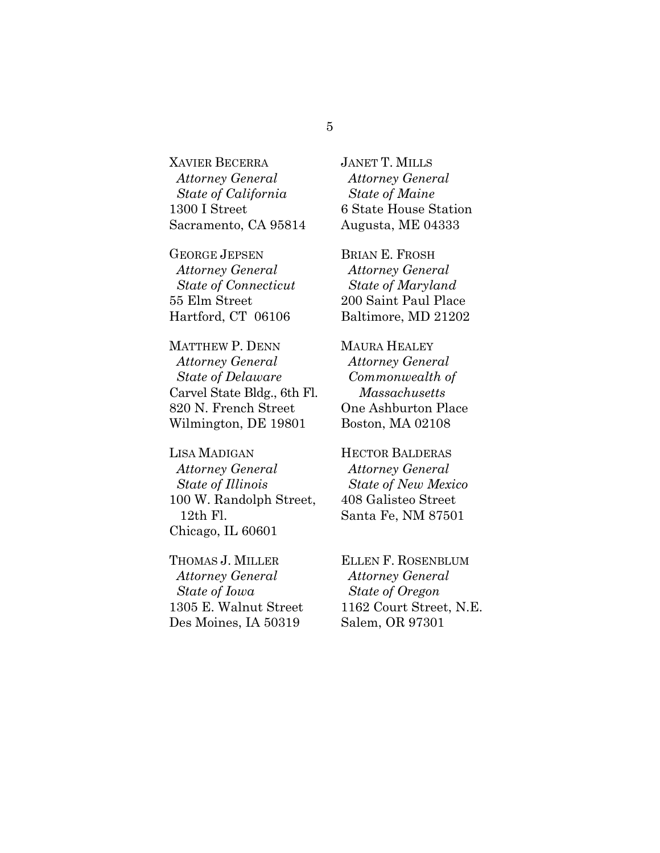XAVIER BECERRA *Attorney General State of California* 1300 I Street Sacramento, CA 95814

GEORGE JEPSEN *Attorney General State of Connecticut* 55 Elm Street Hartford, CT 06106

MATTHEW P. DENN *Attorney General State of Delaware* Carvel State Bldg., 6th Fl. 820 N. French Street Wilmington, DE 19801

LISA MADIGAN *Attorney General State of Illinois*  100 W. Randolph Street, 12th Fl. Chicago, IL 60601

THOMAS J. MILLER *Attorney General State of Iowa*  1305 E. Walnut Street Des Moines, IA 50319

JANET T. MILLS *Attorney General State of Maine* 6 State House Station Augusta, ME 04333

BRIAN E. FROSH *Attorney General State of Maryland* 200 Saint Paul Place Baltimore, MD 21202

MAURA HEALEY *Attorney General Commonwealth of Massachusetts* One Ashburton Place Boston, MA 02108

HECTOR BALDERAS *Attorney General State of New Mexico* 408 Galisteo Street Santa Fe, NM 87501

ELLEN F. ROSENBLUM *Attorney General State of Oregon* 1162 Court Street, N.E. Salem, OR 97301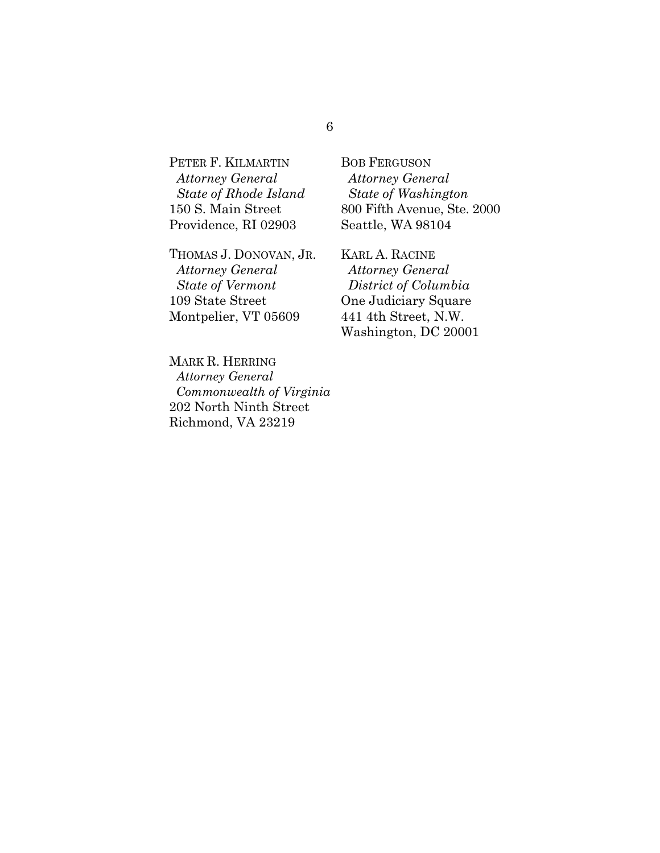PETER F. KILMARTIN *Attorney General State of Rhode Island* 150 S. Main Street Providence, RI 02903

THOMAS J. DONOVAN, JR. *Attorney General State of Vermont* 109 State Street Montpelier, VT 05609

MARK R. HERRING *Attorney General Commonwealth of Virginia* 202 North Ninth Street Richmond, VA 23219

BOB FERGUSON  *Attorney General State of Washington* 800 Fifth Avenue, Ste. 2000 Seattle, WA 98104

KARL A. RACINE *Attorney General District of Columbia* One Judiciary Square 441 4th Street, N.W. Washington, DC 20001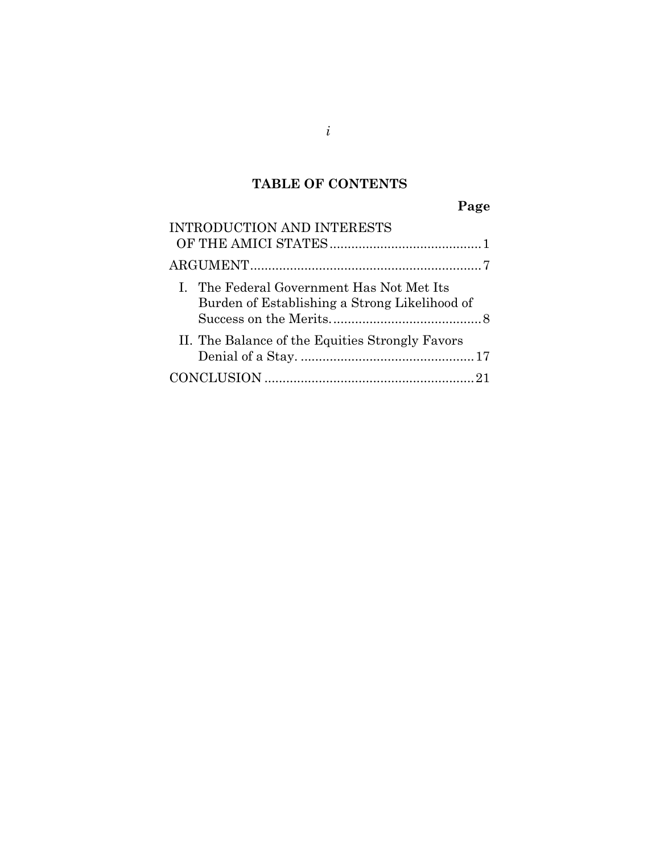# **TABLE OF CONTENTS**

**Page** 

| INTRODUCTION AND INTERESTS                                                                 |
|--------------------------------------------------------------------------------------------|
|                                                                                            |
| I. The Federal Government Has Not Met Its<br>Burden of Establishing a Strong Likelihood of |
| II. The Balance of the Equities Strongly Favors                                            |
|                                                                                            |

*i*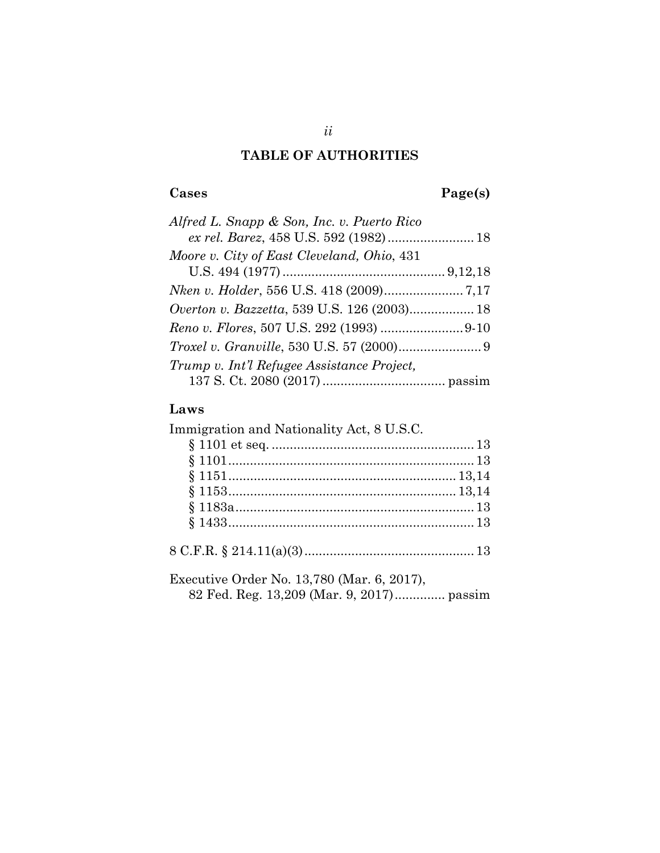# **TABLE OF AUTHORITIES**

# **Cases Page(s)**

| Alfred L. Snapp & Son, Inc. v. Puerto Rico       |  |
|--------------------------------------------------|--|
|                                                  |  |
| Moore v. City of East Cleveland, Ohio, 431       |  |
|                                                  |  |
|                                                  |  |
|                                                  |  |
|                                                  |  |
| <i>Troxel v. Granville, 530 U.S. 57 (2000)</i> 9 |  |
| Trump v. Int'l Refugee Assistance Project,       |  |
|                                                  |  |

# **Laws**

| Immigration and Nationality Act, 8 U.S.C.  |  |
|--------------------------------------------|--|
|                                            |  |
|                                            |  |
|                                            |  |
|                                            |  |
|                                            |  |
|                                            |  |
|                                            |  |
| Executive Order No. 13,780 (Mar. 6, 2017), |  |
| 82 Fed. Reg. 13,209 (Mar. 9, 2017) passim  |  |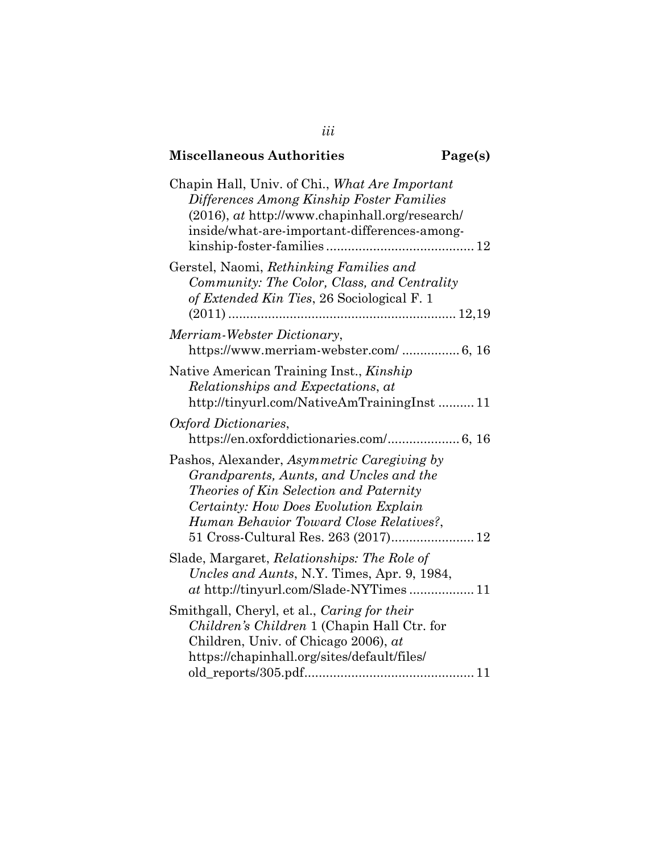## **Miscellaneous Authorities**

| agel<br>S I |
|-------------|
|-------------|

| Chapin Hall, Univ. of Chi., What Are Important<br>Differences Among Kinship Foster Families<br>$(2016)$ , at http://www.chapinhall.org/research/<br>inside/what-are-important-differences-among-                                                              |
|---------------------------------------------------------------------------------------------------------------------------------------------------------------------------------------------------------------------------------------------------------------|
| Gerstel, Naomi, Rethinking Families and<br>Community: The Color, Class, and Centrality<br>of Extended Kin Ties, 26 Sociological F. 1                                                                                                                          |
| Merriam-Webster Dictionary,<br>https://www.merriam-webster.com/ 6, 16                                                                                                                                                                                         |
| Native American Training Inst., Kinship<br>Relationships and Expectations, at<br>http://tinyurl.com/NativeAmTrainingInst 11                                                                                                                                   |
| Oxford Dictionaries,<br>https://en.oxforddictionaries.com/ 6, 16                                                                                                                                                                                              |
| Pashos, Alexander, Asymmetric Caregiving by<br>Grandparents, Aunts, and Uncles and the<br>Theories of Kin Selection and Paternity<br>Certainty: How Does Evolution Explain<br>Human Behavior Toward Close Relatives?,<br>51 Cross-Cultural Res. 263 (2017) 12 |
| Slade, Margaret, Relationships: The Role of<br>Uncles and Aunts, N.Y. Times, Apr. 9, 1984,                                                                                                                                                                    |
| Smithgall, Cheryl, et al., Caring for their<br>Children's Children 1 (Chapin Hall Ctr. for<br>Children, Univ. of Chicago 2006), at<br>https://chapinhall.org/sites/default/files/                                                                             |

*iii*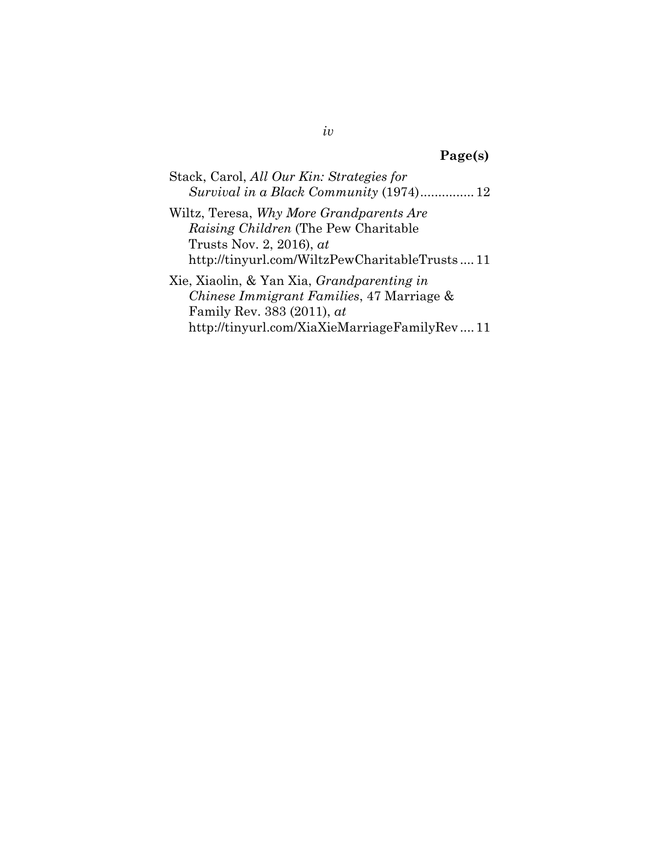# **Page(s)**

| Stack, Carol, All Our Kin: Strategies for |
|-------------------------------------------|
|                                           |

Wiltz, Teresa, *Why More Grandparents Are Raising Children* (The Pew Charitable Trusts Nov. 2, 2016), *at* http://tinyurl.com/WiltzPewCharitableTrusts .... 11

Xie, Xiaolin, & Yan Xia, *Grandparenting in Chinese Immigrant Families*, 47 Marriage & Family Rev. 383 (2011), *at* http://tinyurl.com/XiaXieMarriageFamilyRev .... 11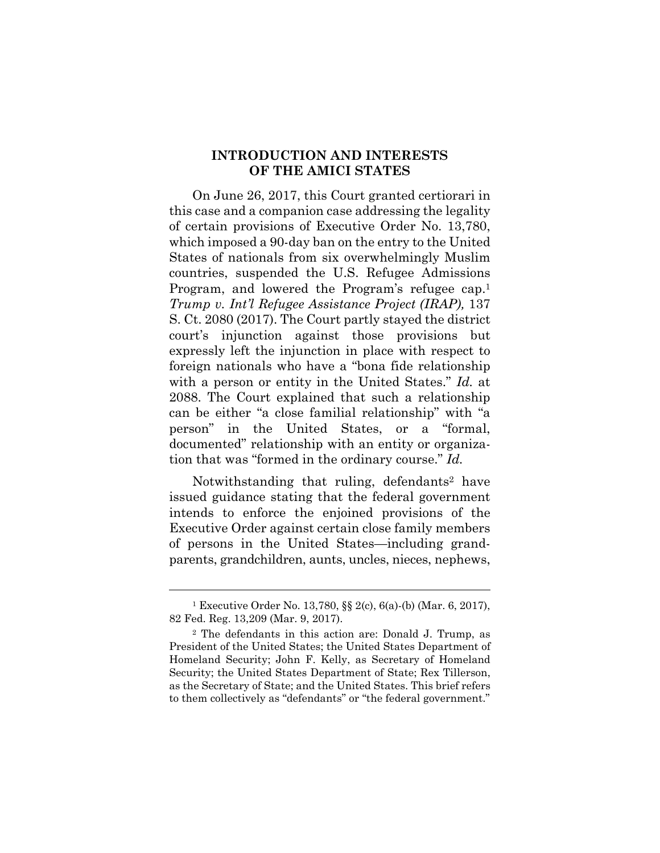#### **INTRODUCTION AND INTERESTS OF THE AMICI STATES**

On June 26, 2017, this Court granted certiorari in this case and a companion case addressing the legality of certain provisions of Executive Order No. 13,780, which imposed a 90-day ban on the entry to the United States of nationals from six overwhelmingly Muslim countries, suspended the U.S. Refugee Admissions Program, and lowered the Program's refugee cap.1 *Trump v. Int'l Refugee Assistance Project (IRAP),* 137 S. Ct. 2080 (2017). The Court partly stayed the district court's injunction against those provisions but expressly left the injunction in place with respect to foreign nationals who have a "bona fide relationship with a person or entity in the United States." *Id.* at 2088. The Court explained that such a relationship can be either "a close familial relationship" with "a person" in the United States, or a "formal, documented" relationship with an entity or organization that was "formed in the ordinary course." *Id.*

Notwithstanding that ruling, defendants<sup>2</sup> have issued guidance stating that the federal government intends to enforce the enjoined provisions of the Executive Order against certain close family members of persons in the United States—including grandparents, grandchildren, aunts, uncles, nieces, nephews,

<sup>1</sup> Executive Order No. 13,780, §§ 2(c), 6(a)-(b) (Mar. 6, 2017), 82 Fed. Reg. 13,209 (Mar. 9, 2017).

<sup>2</sup> The defendants in this action are: Donald J. Trump, as President of the United States; the United States Department of Homeland Security; John F. Kelly, as Secretary of Homeland Security; the United States Department of State; Rex Tillerson, as the Secretary of State; and the United States. This brief refers to them collectively as "defendants" or "the federal government."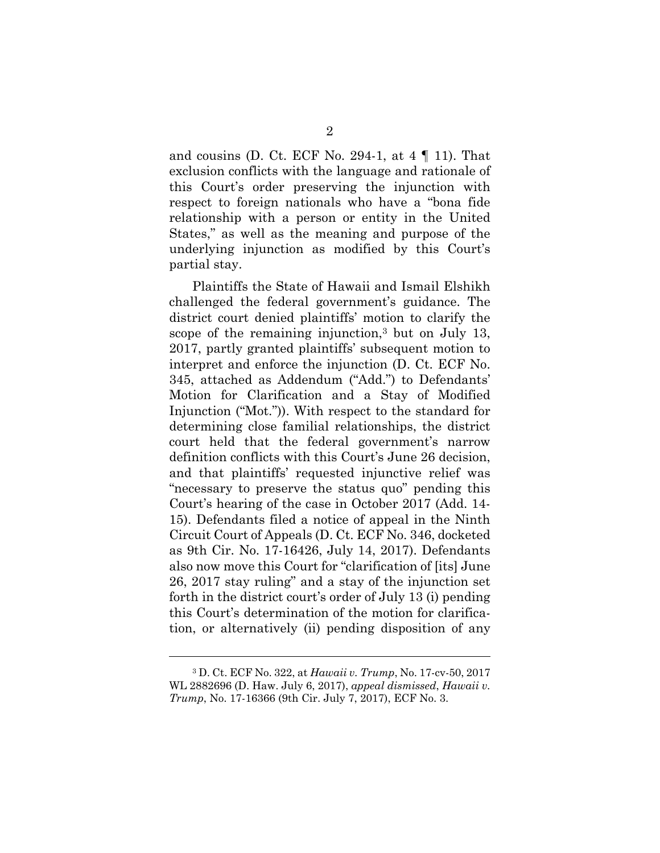and cousins (D. Ct. ECF No. 294-1, at  $4 \nparallel 11$ ). That exclusion conflicts with the language and rationale of this Court's order preserving the injunction with respect to foreign nationals who have a "bona fide relationship with a person or entity in the United States," as well as the meaning and purpose of the underlying injunction as modified by this Court's partial stay.

Plaintiffs the State of Hawaii and Ismail Elshikh challenged the federal government's guidance. The district court denied plaintiffs' motion to clarify the scope of the remaining injunction,3 but on July 13, 2017, partly granted plaintiffs' subsequent motion to interpret and enforce the injunction (D. Ct. ECF No. 345, attached as Addendum ("Add.") to Defendants' Motion for Clarification and a Stay of Modified Injunction ("Mot.")). With respect to the standard for determining close familial relationships, the district court held that the federal government's narrow definition conflicts with this Court's June 26 decision, and that plaintiffs' requested injunctive relief was "necessary to preserve the status quo" pending this Court's hearing of the case in October 2017 (Add. 14- 15). Defendants filed a notice of appeal in the Ninth Circuit Court of Appeals (D. Ct. ECF No. 346, docketed as 9th Cir. No. 17-16426, July 14, 2017). Defendants also now move this Court for "clarification of [its] June 26, 2017 stay ruling" and a stay of the injunction set forth in the district court's order of July 13 (i) pending this Court's determination of the motion for clarification, or alternatively (ii) pending disposition of any

<sup>3</sup> D. Ct. ECF No. 322, at *Hawaii v. Trump*, No. 17-cv-50, 2017 WL 2882696 (D. Haw. July 6, 2017), *appeal dismissed*, *Hawaii v. Trump*, No. 17-16366 (9th Cir. July 7, 2017), ECF No. 3.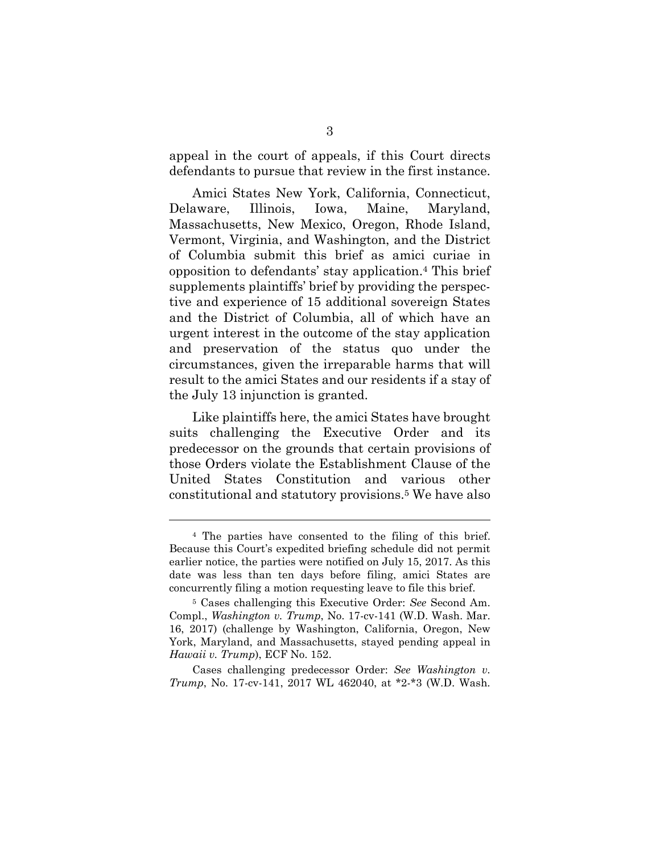appeal in the court of appeals, if this Court directs defendants to pursue that review in the first instance.

Amici States New York, California, Connecticut, Delaware, Illinois, Iowa, Maine, Maryland, Massachusetts, New Mexico, Oregon, Rhode Island, Vermont, Virginia, and Washington, and the District of Columbia submit this brief as amici curiae in opposition to defendants' stay application.4 This brief supplements plaintiffs' brief by providing the perspective and experience of 15 additional sovereign States and the District of Columbia, all of which have an urgent interest in the outcome of the stay application and preservation of the status quo under the circumstances, given the irreparable harms that will result to the amici States and our residents if a stay of the July 13 injunction is granted.

Like plaintiffs here, the amici States have brought suits challenging the Executive Order and its predecessor on the grounds that certain provisions of those Orders violate the Establishment Clause of the United States Constitution and various other constitutional and statutory provisions.5 We have also

<sup>4</sup> The parties have consented to the filing of this brief. Because this Court's expedited briefing schedule did not permit earlier notice, the parties were notified on July 15, 2017. As this date was less than ten days before filing, amici States are concurrently filing a motion requesting leave to file this brief.

<sup>5</sup> Cases challenging this Executive Order: *See* Second Am. Compl., *Washington v. Trump*, No. 17-cv-141 (W.D. Wash. Mar. 16, 2017) (challenge by Washington, California, Oregon, New York, Maryland, and Massachusetts, stayed pending appeal in *Hawaii v. Trump*), ECF No. 152.

Cases challenging predecessor Order: *See Washington v. Trump*, No. 17-cv-141, 2017 WL 462040, at \*2-\*3 (W.D. Wash.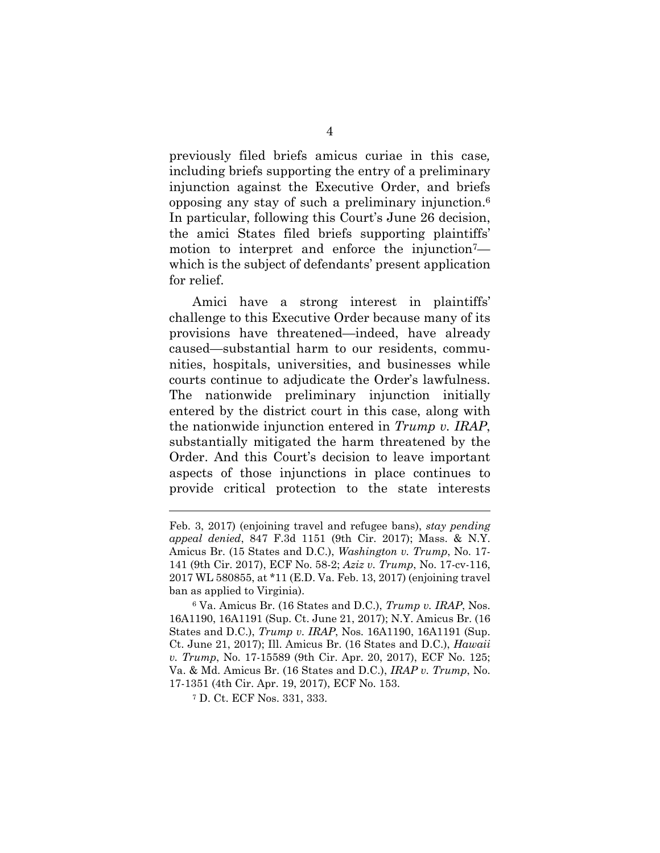previously filed briefs amicus curiae in this case*,*  including briefs supporting the entry of a preliminary injunction against the Executive Order, and briefs opposing any stay of such a preliminary injunction.6 In particular, following this Court's June 26 decision, the amici States filed briefs supporting plaintiffs' motion to interpret and enforce the injunction<sup>7</sup> which is the subject of defendants' present application for relief.

Amici have a strong interest in plaintiffs' challenge to this Executive Order because many of its provisions have threatened—indeed, have already caused—substantial harm to our residents, communities, hospitals, universities, and businesses while courts continue to adjudicate the Order's lawfulness. The nationwide preliminary injunction initially entered by the district court in this case, along with the nationwide injunction entered in *Trump v. IRAP*, substantially mitigated the harm threatened by the Order. And this Court's decision to leave important aspects of those injunctions in place continues to provide critical protection to the state interests

6 Va. Amicus Br. (16 States and D.C.), *Trump v. IRAP*, Nos. 16A1190, 16A1191 (Sup. Ct. June 21, 2017); N.Y. Amicus Br. (16 States and D.C.), *Trump v. IRAP*, Nos. 16A1190, 16A1191 (Sup. Ct. June 21, 2017); Ill. Amicus Br. (16 States and D.C.), *Hawaii v. Trump*, No. 17-15589 (9th Cir. Apr. 20, 2017), ECF No. 125; Va. & Md. Amicus Br. (16 States and D.C.), *IRAP v. Trump*, No. 17-1351 (4th Cir. Apr. 19, 2017), ECF No. 153.

7 D. Ct. ECF Nos. 331, 333.

Feb. 3, 2017) (enjoining travel and refugee bans), *stay pending appeal denied*, 847 F.3d 1151 (9th Cir. 2017); Mass. & N.Y. Amicus Br. (15 States and D.C.), *Washington v. Trump*, No. 17- 141 (9th Cir. 2017), ECF No. 58-2; *Aziz v. Trump*, No. 17-cv-116, 2017 WL 580855, at \*11 (E.D. Va. Feb. 13, 2017) (enjoining travel ban as applied to Virginia).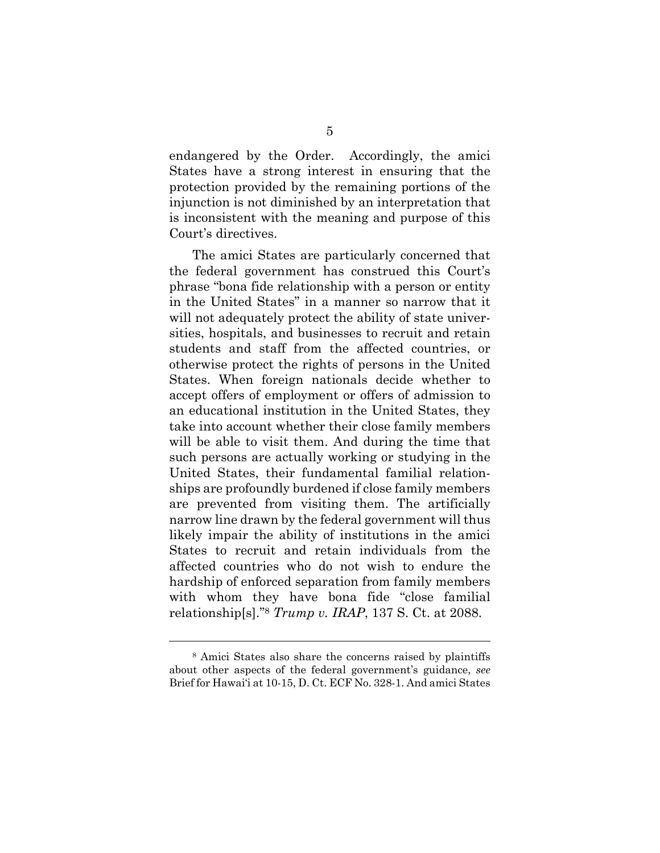endangered by the Order. Accordingly, the amici States have a strong interest in ensuring that the protection provided by the remaining portions of the injunction is not diminished by an interpretation that is inconsistent with the meaning and purpose of this Court's directives.

The amici States are particularly concerned that the federal government has construed this Court's phrase "bona fide relationship with a person or entity in the United States" in a manner so narrow that it will not adequately protect the ability of state universities, hospitals, and businesses to recruit and retain students and staff from the affected countries, or otherwise protect the rights of persons in the United States. When foreign nationals decide whether to accept offers of employment or offers of admission to an educational institution in the United States, they take into account whether their close family members will be able to visit them. And during the time that such persons are actually working or studying in the United States, their fundamental familial relationships are profoundly burdened if close family members are prevented from visiting them. The artificially narrow line drawn by the federal government will thus likely impair the ability of institutions in the amici States to recruit and retain individuals from the affected countries who do not wish to endure the hardship of enforced separation from family members with whom they have bona fide "close familial relationship[s]."8 *Trump v. IRAP*, 137 S. Ct. at 2088.

<sup>8</sup> Amici States also share the concerns raised by plaintiffs about other aspects of the federal government's guidance, *see* Brief for Hawai'i at 10-15, D. Ct. ECF No. 328-1. And amici States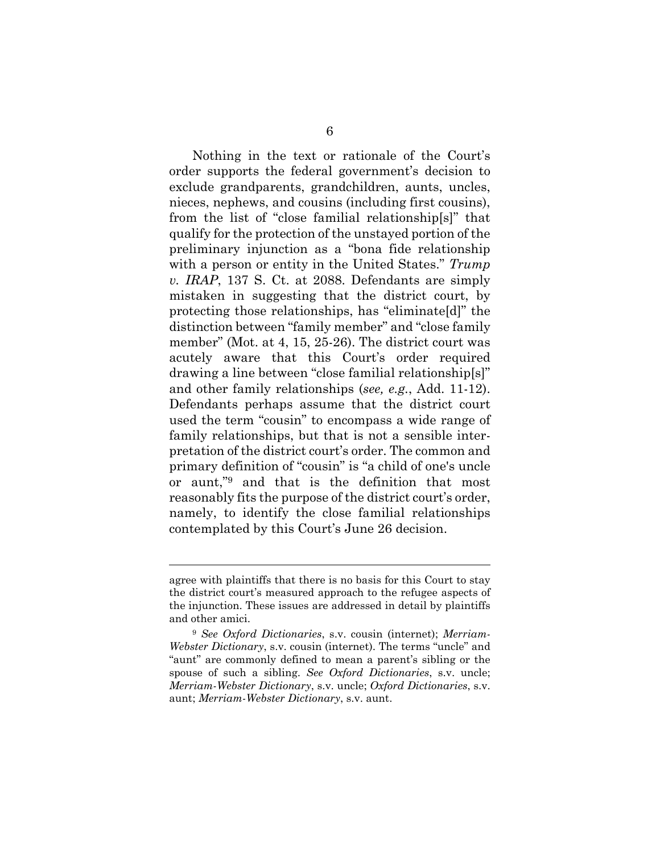Nothing in the text or rationale of the Court's order supports the federal government's decision to exclude grandparents, grandchildren, aunts, uncles, nieces, nephews, and cousins (including first cousins), from the list of "close familial relationship[s]" that qualify for the protection of the unstayed portion of the preliminary injunction as a "bona fide relationship with a person or entity in the United States." *Trump v. IRAP*, 137 S. Ct. at 2088. Defendants are simply mistaken in suggesting that the district court, by protecting those relationships, has "eliminate[d]" the distinction between "family member" and "close family member" (Mot. at 4, 15, 25-26). The district court was acutely aware that this Court's order required drawing a line between "close familial relationship[s]" and other family relationships (*see, e.g.*, Add. 11-12). Defendants perhaps assume that the district court used the term "cousin" to encompass a wide range of family relationships, but that is not a sensible interpretation of the district court's order. The common and primary definition of "cousin" is "a child of one's uncle or aunt,"9 and that is the definition that most reasonably fits the purpose of the district court's order, namely, to identify the close familial relationships contemplated by this Court's June 26 decision.

agree with plaintiffs that there is no basis for this Court to stay the district court's measured approach to the refugee aspects of the injunction. These issues are addressed in detail by plaintiffs and other amici.

<sup>9</sup> *See Oxford Dictionaries*, s.v. cousin (internet); *Merriam-Webster Dictionary*, s.v. cousin (internet). The terms "uncle" and "aunt" are commonly defined to mean a parent's sibling or the spouse of such a sibling. *See Oxford Dictionaries*, s.v. uncle; *Merriam-Webster Dictionary*, s.v. uncle; *Oxford Dictionaries*, s.v. aunt; *Merriam-Webster Dictionary*, s.v. aunt.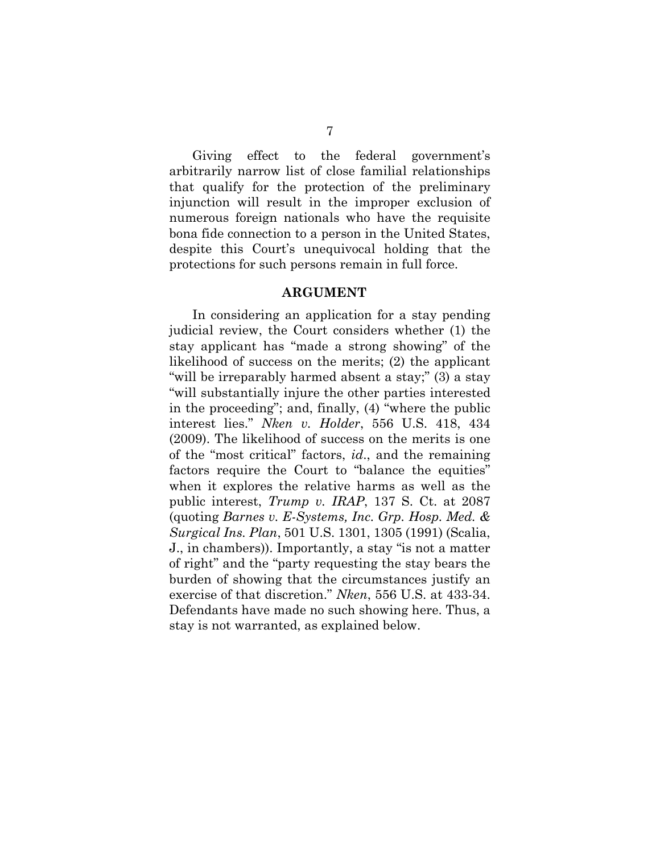Giving effect to the federal government's arbitrarily narrow list of close familial relationships that qualify for the protection of the preliminary injunction will result in the improper exclusion of numerous foreign nationals who have the requisite bona fide connection to a person in the United States, despite this Court's unequivocal holding that the protections for such persons remain in full force.

#### **ARGUMENT**

In considering an application for a stay pending judicial review, the Court considers whether (1) the stay applicant has "made a strong showing" of the likelihood of success on the merits; (2) the applicant "will be irreparably harmed absent a stay;" (3) a stay "will substantially injure the other parties interested in the proceeding"; and, finally, (4) "where the public interest lies." *Nken v. Holder*, 556 U.S. 418, 434 (2009). The likelihood of success on the merits is one of the "most critical" factors, *id*., and the remaining factors require the Court to "balance the equities" when it explores the relative harms as well as the public interest, *Trump v. IRAP*, 137 S. Ct. at 2087 (quoting *Barnes v. E-Systems, Inc. Grp. Hosp. Med. & Surgical Ins. Plan*, 501 U.S. 1301, 1305 (1991) (Scalia, J., in chambers)). Importantly, a stay "is not a matter of right" and the "party requesting the stay bears the burden of showing that the circumstances justify an exercise of that discretion." *Nken*, 556 U.S. at 433-34. Defendants have made no such showing here. Thus, a stay is not warranted, as explained below.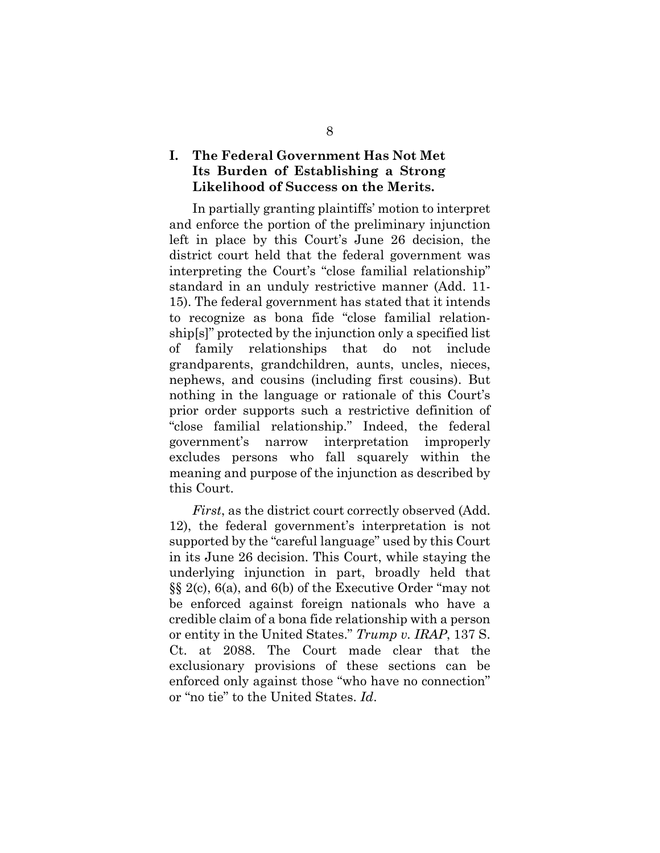## **I. The Federal Government Has Not Met Its Burden of Establishing a Strong Likelihood of Success on the Merits.**

In partially granting plaintiffs' motion to interpret and enforce the portion of the preliminary injunction left in place by this Court's June 26 decision, the district court held that the federal government was interpreting the Court's "close familial relationship" standard in an unduly restrictive manner (Add. 11- 15). The federal government has stated that it intends to recognize as bona fide "close familial relationship[s]" protected by the injunction only a specified list of family relationships that do not include grandparents, grandchildren, aunts, uncles, nieces, nephews, and cousins (including first cousins). But nothing in the language or rationale of this Court's prior order supports such a restrictive definition of "close familial relationship." Indeed, the federal government's narrow interpretation improperly excludes persons who fall squarely within the meaning and purpose of the injunction as described by this Court.

*First*, as the district court correctly observed (Add. 12), the federal government's interpretation is not supported by the "careful language" used by this Court in its June 26 decision. This Court, while staying the underlying injunction in part, broadly held that §§ 2(c), 6(a), and 6(b) of the Executive Order "may not be enforced against foreign nationals who have a credible claim of a bona fide relationship with a person or entity in the United States." *Trump v. IRAP*, 137 S. Ct. at 2088. The Court made clear that the exclusionary provisions of these sections can be enforced only against those "who have no connection" or "no tie" to the United States. *Id*.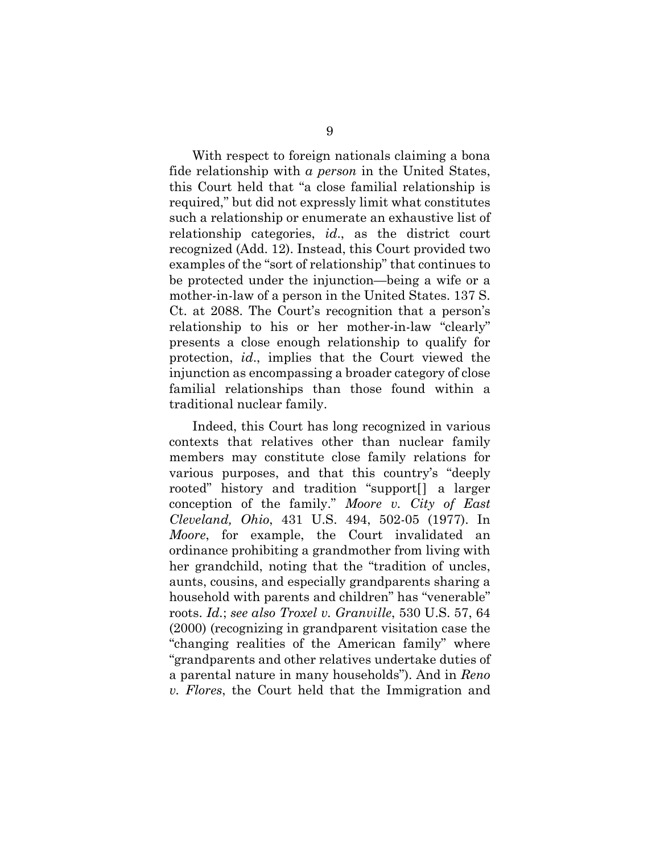With respect to foreign nationals claiming a bona fide relationship with *a person* in the United States, this Court held that "a close familial relationship is required," but did not expressly limit what constitutes such a relationship or enumerate an exhaustive list of relationship categories, *id*., as the district court recognized (Add. 12). Instead, this Court provided two examples of the "sort of relationship" that continues to be protected under the injunction—being a wife or a mother-in-law of a person in the United States. 137 S. Ct. at 2088. The Court's recognition that a person's relationship to his or her mother-in-law "clearly" presents a close enough relationship to qualify for protection, *id*., implies that the Court viewed the injunction as encompassing a broader category of close familial relationships than those found within a traditional nuclear family.

Indeed, this Court has long recognized in various contexts that relatives other than nuclear family members may constitute close family relations for various purposes, and that this country's "deeply rooted" history and tradition "support[] a larger conception of the family." *Moore v. City of East Cleveland, Ohio*, 431 U.S. 494, 502-05 (1977). In *Moore*, for example, the Court invalidated an ordinance prohibiting a grandmother from living with her grandchild, noting that the "tradition of uncles, aunts, cousins, and especially grandparents sharing a household with parents and children" has "venerable" roots. *Id.*; *see also Troxel v. Granville*, 530 U.S. 57, 64 (2000) (recognizing in grandparent visitation case the "changing realities of the American family" where "grandparents and other relatives undertake duties of a parental nature in many households"). And in *Reno v. Flores*, the Court held that the Immigration and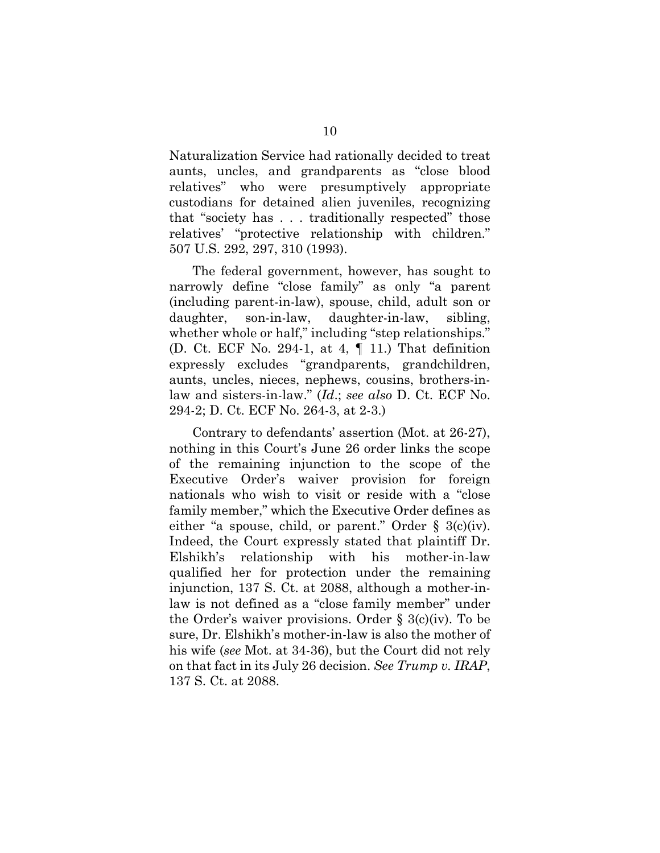Naturalization Service had rationally decided to treat aunts, uncles, and grandparents as "close blood relatives" who were presumptively appropriate custodians for detained alien juveniles, recognizing that "society has . . . traditionally respected" those relatives' "protective relationship with children." 507 U.S. 292, 297, 310 (1993).

The federal government, however, has sought to narrowly define "close family" as only "a parent (including parent-in-law), spouse, child, adult son or daughter, son-in-law, daughter-in-law, sibling, whether whole or half," including "step relationships." (D. Ct. ECF No. 294-1, at 4, ¶ 11.) That definition expressly excludes "grandparents, grandchildren, aunts, uncles, nieces, nephews, cousins, brothers-inlaw and sisters-in-law." (*Id*.; *see also* D. Ct. ECF No. 294-2; D. Ct. ECF No. 264-3, at 2-3.)

Contrary to defendants' assertion (Mot. at 26-27), nothing in this Court's June 26 order links the scope of the remaining injunction to the scope of the Executive Order's waiver provision for foreign nationals who wish to visit or reside with a "close family member," which the Executive Order defines as either "a spouse, child, or parent." Order  $\S$  3(c)(iv). Indeed, the Court expressly stated that plaintiff Dr. Elshikh's relationship with his mother-in-law qualified her for protection under the remaining injunction, 137 S. Ct. at 2088, although a mother-inlaw is not defined as a "close family member" under the Order's waiver provisions. Order § 3(c)(iv). To be sure, Dr. Elshikh's mother-in-law is also the mother of his wife (*see* Mot. at 34-36), but the Court did not rely on that fact in its July 26 decision. *See Trump v. IRAP*, 137 S. Ct. at 2088.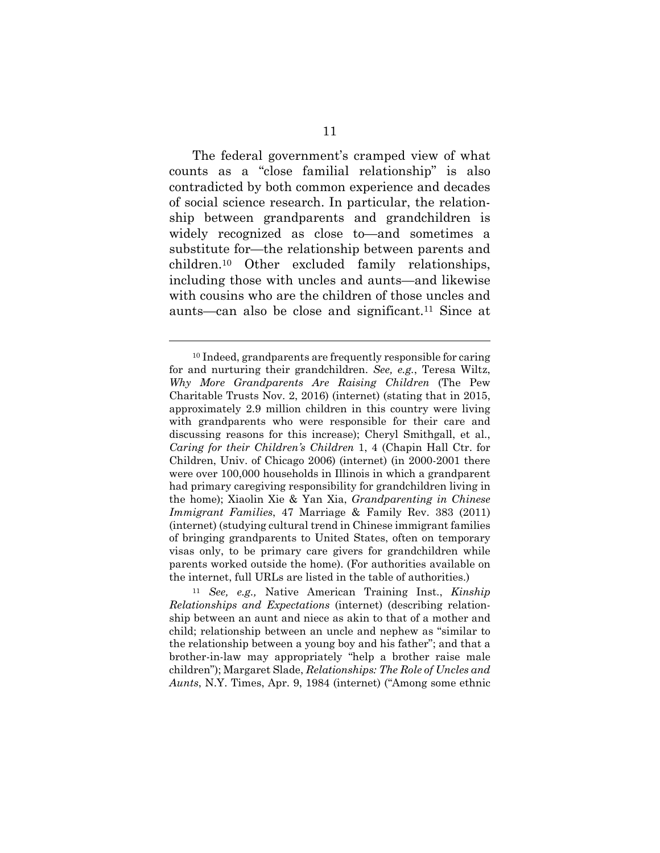The federal government's cramped view of what counts as a "close familial relationship" is also contradicted by both common experience and decades of social science research. In particular, the relationship between grandparents and grandchildren is widely recognized as close to—and sometimes a substitute for—the relationship between parents and children.10 Other excluded family relationships, including those with uncles and aunts—and likewise with cousins who are the children of those uncles and aunts—can also be close and significant.11 Since at

l

<sup>11</sup> *See, e.g.,* Native American Training Inst., *Kinship Relationships and Expectations* (internet) (describing relationship between an aunt and niece as akin to that of a mother and child; relationship between an uncle and nephew as "similar to the relationship between a young boy and his father"; and that a brother-in-law may appropriately "help a brother raise male children"); Margaret Slade, *Relationships: The Role of Uncles and Aunts*, N.Y. Times, Apr. 9, 1984 (internet) ("Among some ethnic

<sup>10</sup> Indeed, grandparents are frequently responsible for caring for and nurturing their grandchildren. *See, e.g.*, Teresa Wiltz, *Why More Grandparents Are Raising Children* (The Pew Charitable Trusts Nov. 2, 2016) (internet) (stating that in 2015, approximately 2.9 million children in this country were living with grandparents who were responsible for their care and discussing reasons for this increase); Cheryl Smithgall, et al., *Caring for their Children's Children* 1, 4 (Chapin Hall Ctr. for Children, Univ. of Chicago 2006) (internet) (in 2000-2001 there were over 100,000 households in Illinois in which a grandparent had primary caregiving responsibility for grandchildren living in the home); Xiaolin Xie & Yan Xia, *Grandparenting in Chinese Immigrant Families*, 47 Marriage & Family Rev. 383 (2011) (internet) (studying cultural trend in Chinese immigrant families of bringing grandparents to United States, often on temporary visas only, to be primary care givers for grandchildren while parents worked outside the home). (For authorities available on the internet, full URLs are listed in the table of authorities.)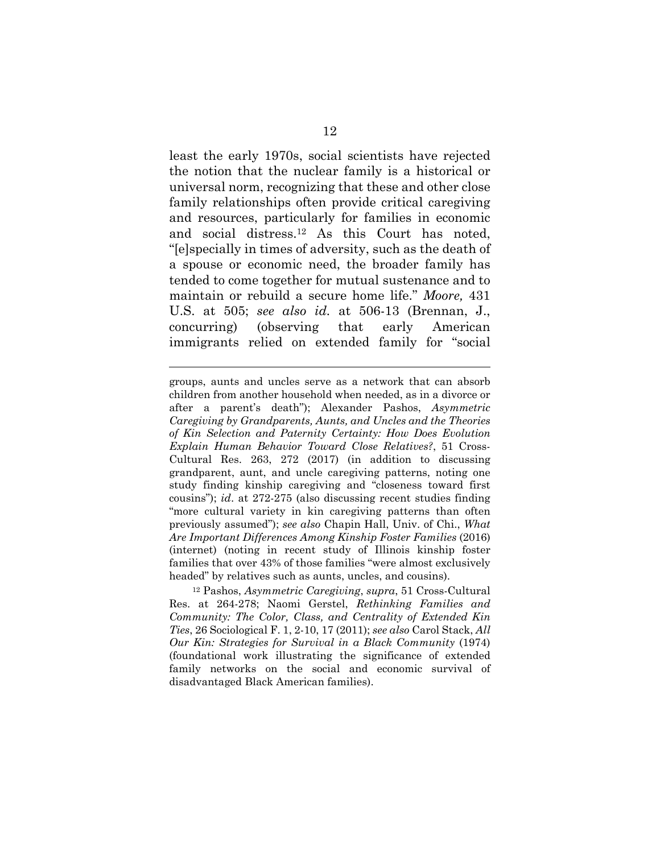least the early 1970s, social scientists have rejected the notion that the nuclear family is a historical or universal norm, recognizing that these and other close family relationships often provide critical caregiving and resources, particularly for families in economic and social distress.12 As this Court has noted, "[e]specially in times of adversity, such as the death of a spouse or economic need, the broader family has tended to come together for mutual sustenance and to maintain or rebuild a secure home life." *Moore,* 431 U.S. at 505; *see also id.* at 506-13 (Brennan, J., concurring) (observing that early American immigrants relied on extended family for "social

groups, aunts and uncles serve as a network that can absorb children from another household when needed, as in a divorce or after a parent's death"); Alexander Pashos, *Asymmetric Caregiving by Grandparents, Aunts, and Uncles and the Theories of Kin Selection and Paternity Certainty: How Does Evolution Explain Human Behavior Toward Close Relatives?*, 51 Cross-Cultural Res. 263, 272 (2017) (in addition to discussing grandparent, aunt, and uncle caregiving patterns, noting one study finding kinship caregiving and "closeness toward first cousins"); *id*. at 272-275 (also discussing recent studies finding "more cultural variety in kin caregiving patterns than often previously assumed"); *see also* Chapin Hall, Univ. of Chi., *What Are Important Differences Among Kinship Foster Families* (2016) (internet) (noting in recent study of Illinois kinship foster families that over 43% of those families "were almost exclusively headed" by relatives such as aunts, uncles, and cousins).

l

12 Pashos, *Asymmetric Caregiving*, *supra*, 51 Cross-Cultural Res. at 264-278; Naomi Gerstel, *Rethinking Families and Community: The Color, Class, and Centrality of Extended Kin Ties*, 26 Sociological F. 1, 2-10, 17 (2011); *see also* Carol Stack, *All Our Kin: Strategies for Survival in a Black Community* (1974) (foundational work illustrating the significance of extended family networks on the social and economic survival of disadvantaged Black American families).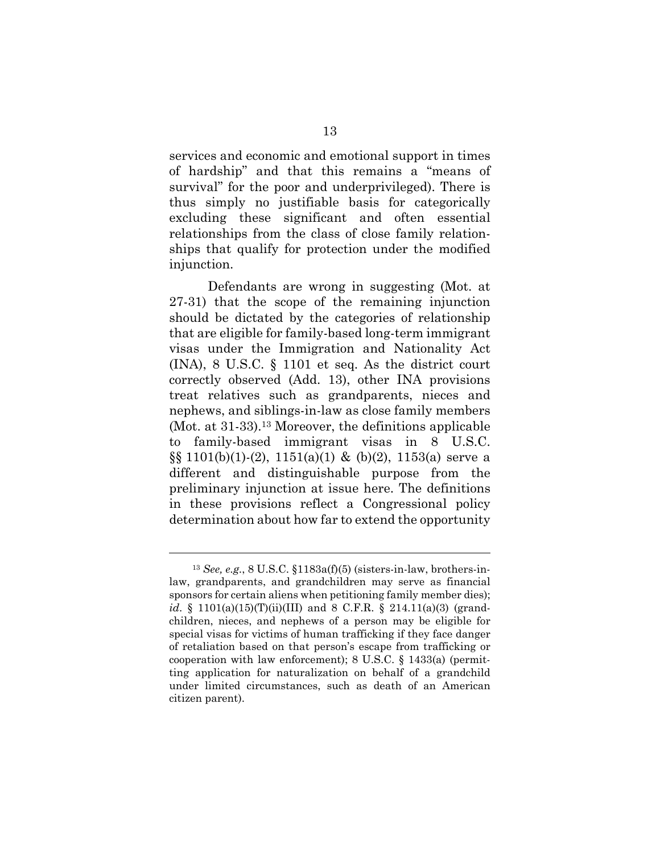services and economic and emotional support in times of hardship" and that this remains a "means of survival" for the poor and underprivileged). There is thus simply no justifiable basis for categorically excluding these significant and often essential relationships from the class of close family relationships that qualify for protection under the modified injunction.

Defendants are wrong in suggesting (Mot. at 27-31) that the scope of the remaining injunction should be dictated by the categories of relationship that are eligible for family-based long-term immigrant visas under the Immigration and Nationality Act (INA), 8 U.S.C. § 1101 et seq. As the district court correctly observed (Add. 13), other INA provisions treat relatives such as grandparents, nieces and nephews, and siblings-in-law as close family members (Mot. at 31-33).13 Moreover, the definitions applicable to family-based immigrant visas in 8 U.S.C.  $\S$ [0, 1101(b)(1)-(2), 1151(a)(1) & (b)(2), 1153(a) serve a different and distinguishable purpose from the preliminary injunction at issue here. The definitions in these provisions reflect a Congressional policy determination about how far to extend the opportunity

<sup>13</sup> *See, e.g.*, 8 U.S.C. §1183a(f)(5) (sisters-in-law, brothers-inlaw, grandparents, and grandchildren may serve as financial sponsors for certain aliens when petitioning family member dies); *id*. § 1101(a)(15)(T)(ii)(III) and 8 C.F.R. § 214.11(a)(3) (grandchildren, nieces, and nephews of a person may be eligible for special visas for victims of human trafficking if they face danger of retaliation based on that person's escape from trafficking or cooperation with law enforcement); 8 U.S.C. § 1433(a) (permitting application for naturalization on behalf of a grandchild under limited circumstances, such as death of an American citizen parent).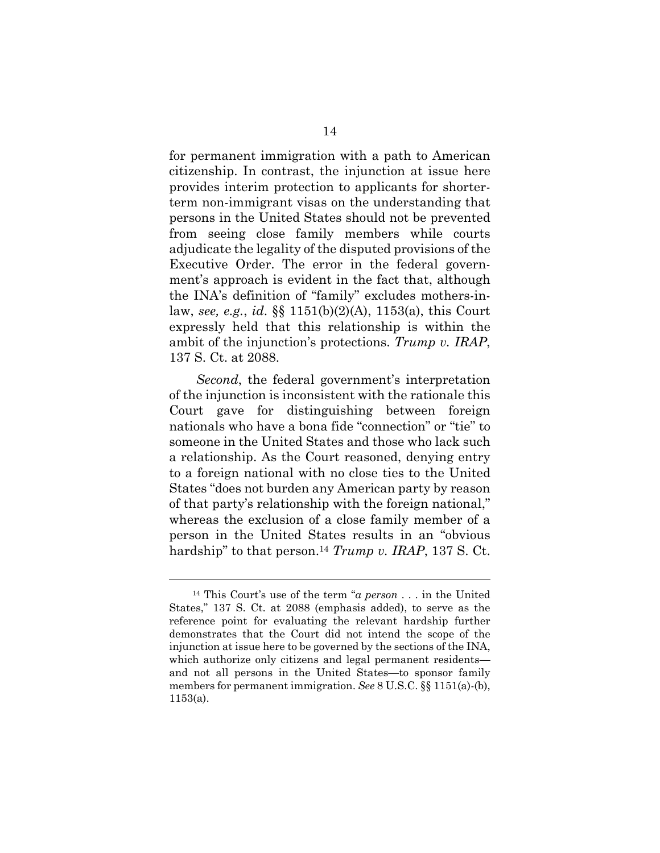for permanent immigration with a path to American citizenship. In contrast, the injunction at issue here provides interim protection to applicants for shorterterm non-immigrant visas on the understanding that persons in the United States should not be prevented from seeing close family members while courts adjudicate the legality of the disputed provisions of the Executive Order. The error in the federal government's approach is evident in the fact that, although the INA's definition of "family" excludes mothers-inlaw, *see, e.g.*, *id*. §§ 1151(b)(2)(A), 1153(a), this Court expressly held that this relationship is within the ambit of the injunction's protections. *Trump v. IRAP*, 137 S. Ct. at 2088.

*Second*, the federal government's interpretation of the injunction is inconsistent with the rationale this Court gave for distinguishing between foreign nationals who have a bona fide "connection" or "tie" to someone in the United States and those who lack such a relationship. As the Court reasoned, denying entry to a foreign national with no close ties to the United States "does not burden any American party by reason of that party's relationship with the foreign national," whereas the exclusion of a close family member of a person in the United States results in an "obvious hardship" to that person.14 *Trump v. IRAP*, 137 S. Ct.

<sup>14</sup> This Court's use of the term "*a person* . . . in the United States," 137 S. Ct. at 2088 (emphasis added), to serve as the reference point for evaluating the relevant hardship further demonstrates that the Court did not intend the scope of the injunction at issue here to be governed by the sections of the INA, which authorize only citizens and legal permanent residents and not all persons in the United States—to sponsor family members for permanent immigration. *See* 8 U.S.C. §§ 1151(a)-(b), 1153(a).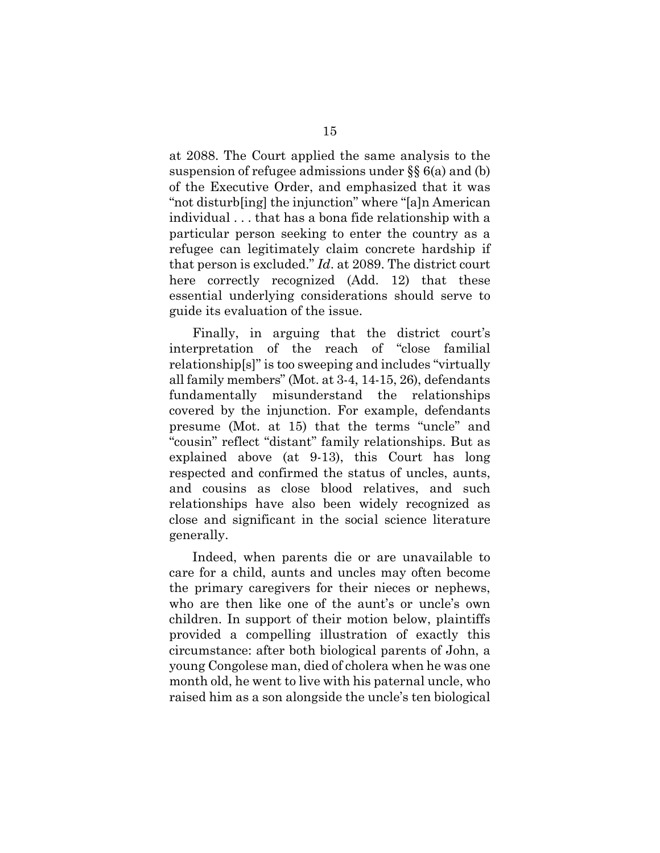at 2088. The Court applied the same analysis to the suspension of refugee admissions under §§ 6(a) and (b) of the Executive Order, and emphasized that it was "not disturb[ing] the injunction" where "[a]n American individual . . . that has a bona fide relationship with a particular person seeking to enter the country as a refugee can legitimately claim concrete hardship if that person is excluded." *Id*. at 2089. The district court here correctly recognized (Add. 12) that these essential underlying considerations should serve to guide its evaluation of the issue.

Finally, in arguing that the district court's interpretation of the reach of "close familial relationship[s]" is too sweeping and includes "virtually all family members" (Mot. at 3-4, 14-15, 26), defendants fundamentally misunderstand the relationships covered by the injunction. For example, defendants presume (Mot. at 15) that the terms "uncle" and "cousin" reflect "distant" family relationships. But as explained above (at 9-13), this Court has long respected and confirmed the status of uncles, aunts, and cousins as close blood relatives, and such relationships have also been widely recognized as close and significant in the social science literature generally.

Indeed, when parents die or are unavailable to care for a child, aunts and uncles may often become the primary caregivers for their nieces or nephews, who are then like one of the aunt's or uncle's own children. In support of their motion below, plaintiffs provided a compelling illustration of exactly this circumstance: after both biological parents of John, a young Congolese man, died of cholera when he was one month old, he went to live with his paternal uncle, who raised him as a son alongside the uncle's ten biological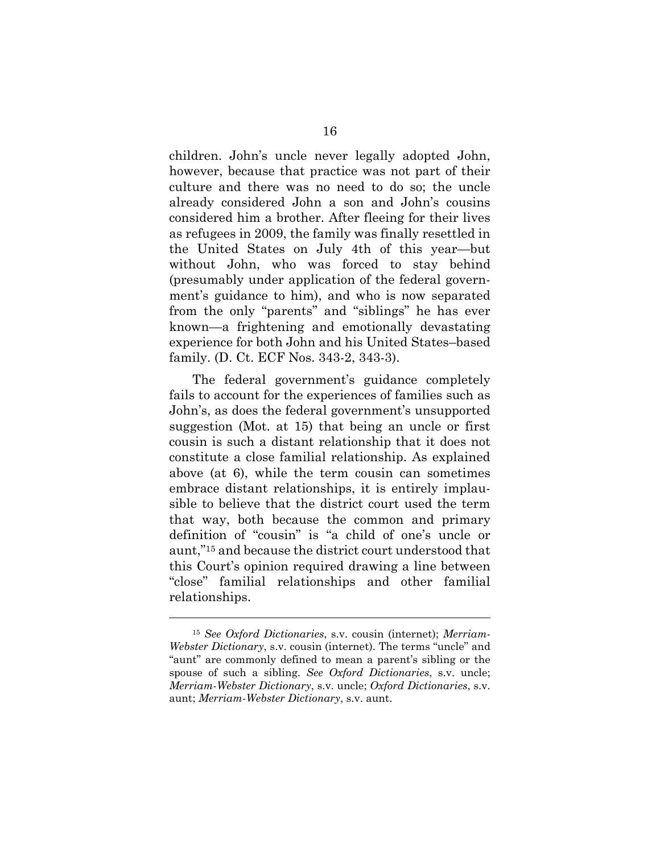children. John's uncle never legally adopted John, however, because that practice was not part of their culture and there was no need to do so; the uncle already considered John a son and John's cousins considered him a brother. After fleeing for their lives as refugees in 2009, the family was finally resettled in the United States on July 4th of this year—but without John, who was forced to stay behind (presumably under application of the federal government's guidance to him), and who is now separated from the only "parents" and "siblings" he has ever known—a frightening and emotionally devastating experience for both John and his United States–based family. (D. Ct. ECF Nos. 343-2, 343-3).

The federal government's guidance completely fails to account for the experiences of families such as John's, as does the federal government's unsupported suggestion (Mot. at 15) that being an uncle or first cousin is such a distant relationship that it does not constitute a close familial relationship. As explained above (at 6), while the term cousin can sometimes embrace distant relationships, it is entirely implausible to believe that the district court used the term that way, both because the common and primary definition of "cousin" is "a child of one's uncle or aunt,"15 and because the district court understood that this Court's opinion required drawing a line between "close" familial relationships and other familial relationships.

<sup>15</sup> *See Oxford Dictionaries*, s.v. cousin (internet); *Merriam-Webster Dictionary*, s.v. cousin (internet). The terms "uncle" and "aunt" are commonly defined to mean a parent's sibling or the spouse of such a sibling. *See Oxford Dictionaries*, s.v. uncle; *Merriam-Webster Dictionary*, s.v. uncle; *Oxford Dictionaries*, s.v. aunt; *Merriam-Webster Dictionary*, s.v. aunt.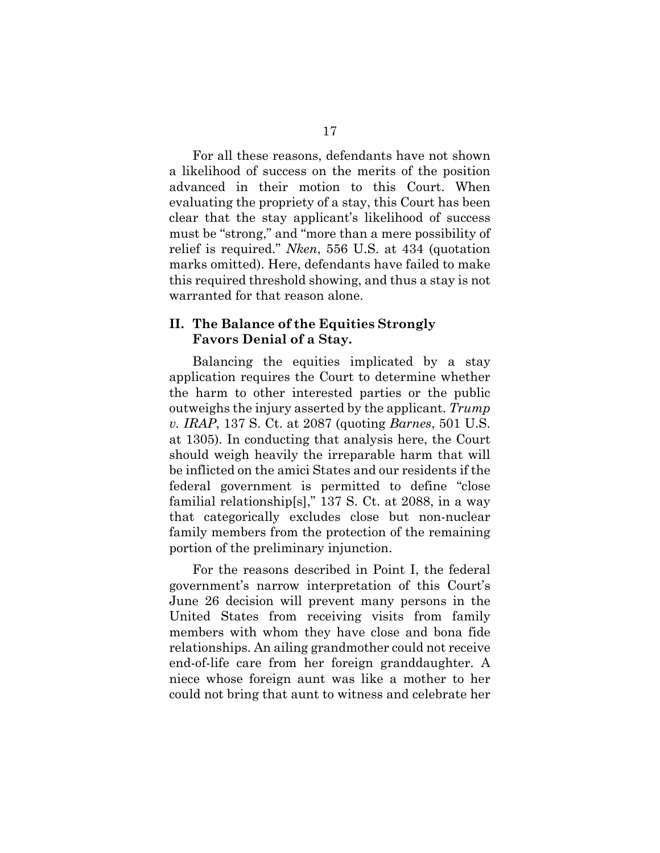For all these reasons, defendants have not shown a likelihood of success on the merits of the position advanced in their motion to this Court. When evaluating the propriety of a stay, this Court has been clear that the stay applicant's likelihood of success must be "strong," and "more than a mere possibility of relief is required." *Nken*, 556 U.S. at 434 (quotation marks omitted). Here, defendants have failed to make this required threshold showing, and thus a stay is not warranted for that reason alone.

#### **II. The Balance of the Equities Strongly Favors Denial of a Stay.**

Balancing the equities implicated by a stay application requires the Court to determine whether the harm to other interested parties or the public outweighs the injury asserted by the applicant. *Trump v. IRAP*, 137 S. Ct. at 2087 (quoting *Barnes*, 501 U.S. at 1305). In conducting that analysis here, the Court should weigh heavily the irreparable harm that will be inflicted on the amici States and our residents if the federal government is permitted to define "close familial relationship[s]," 137 S. Ct. at 2088, in a way that categorically excludes close but non-nuclear family members from the protection of the remaining portion of the preliminary injunction.

For the reasons described in Point I, the federal government's narrow interpretation of this Court's June 26 decision will prevent many persons in the United States from receiving visits from family members with whom they have close and bona fide relationships. An ailing grandmother could not receive end-of-life care from her foreign granddaughter. A niece whose foreign aunt was like a mother to her could not bring that aunt to witness and celebrate her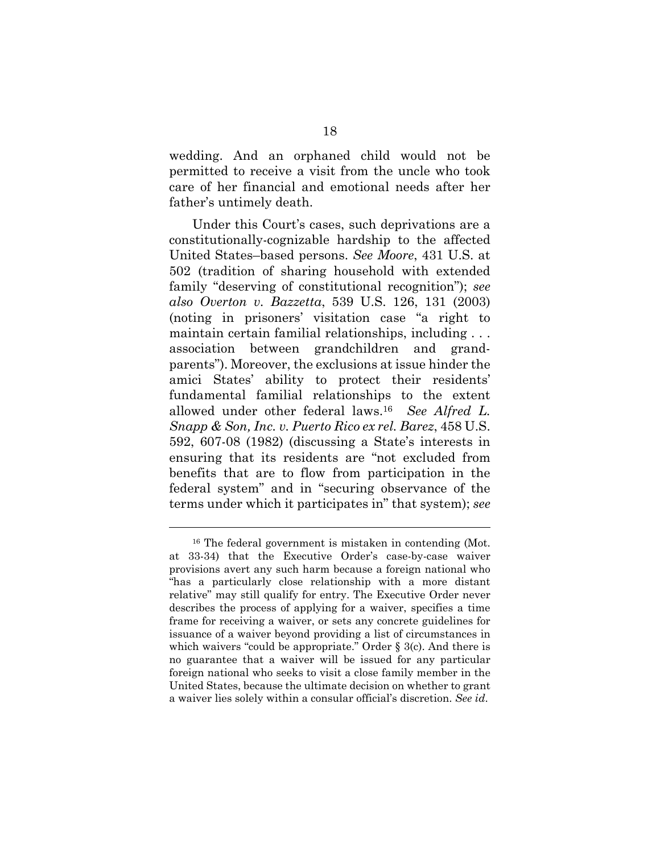wedding. And an orphaned child would not be permitted to receive a visit from the uncle who took care of her financial and emotional needs after her father's untimely death.

Under this Court's cases, such deprivations are a constitutionally-cognizable hardship to the affected United States–based persons. *See Moore*, 431 U.S. at 502 (tradition of sharing household with extended family "deserving of constitutional recognition"); *see also Overton v. Bazzetta*, 539 U.S. 126, 131 (2003) (noting in prisoners' visitation case "a right to maintain certain familial relationships, including . . . association between grandchildren and grandparents"). Moreover, the exclusions at issue hinder the amici States' ability to protect their residents' fundamental familial relationships to the extent allowed under other federal laws.16 *See Alfred L. Snapp & Son, Inc. v. Puerto Rico ex rel. Barez*, 458 U.S. 592, 607-08 (1982) (discussing a State's interests in ensuring that its residents are "not excluded from benefits that are to flow from participation in the federal system" and in "securing observance of the terms under which it participates in" that system); *see* 

<sup>16</sup> The federal government is mistaken in contending (Mot. at 33-34) that the Executive Order's case-by-case waiver provisions avert any such harm because a foreign national who "has a particularly close relationship with a more distant relative" may still qualify for entry. The Executive Order never describes the process of applying for a waiver, specifies a time frame for receiving a waiver, or sets any concrete guidelines for issuance of a waiver beyond providing a list of circumstances in which waivers "could be appropriate." Order § 3(c). And there is no guarantee that a waiver will be issued for any particular foreign national who seeks to visit a close family member in the United States, because the ultimate decision on whether to grant a waiver lies solely within a consular official's discretion. *See id*.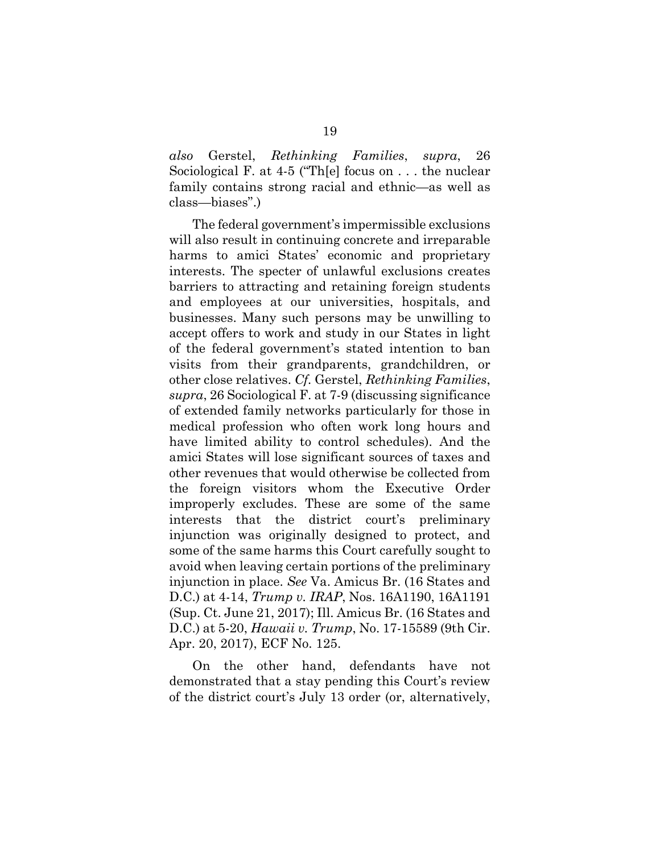*also* Gerstel, *Rethinking Families*, *supra*, 26 Sociological F. at 4-5 ("Th[e] focus on . . . the nuclear family contains strong racial and ethnic—as well as class—biases".)

The federal government's impermissible exclusions will also result in continuing concrete and irreparable harms to amici States' economic and proprietary interests. The specter of unlawful exclusions creates barriers to attracting and retaining foreign students and employees at our universities, hospitals, and businesses. Many such persons may be unwilling to accept offers to work and study in our States in light of the federal government's stated intention to ban visits from their grandparents, grandchildren, or other close relatives. *Cf.* Gerstel, *Rethinking Families*, *supra*, 26 Sociological F. at 7-9 (discussing significance of extended family networks particularly for those in medical profession who often work long hours and have limited ability to control schedules). And the amici States will lose significant sources of taxes and other revenues that would otherwise be collected from the foreign visitors whom the Executive Order improperly excludes. These are some of the same interests that the district court's preliminary injunction was originally designed to protect, and some of the same harms this Court carefully sought to avoid when leaving certain portions of the preliminary injunction in place. *See* Va. Amicus Br. (16 States and D.C.) at 4-14, *Trump v. IRAP*, Nos. 16A1190, 16A1191 (Sup. Ct. June 21, 2017); Ill. Amicus Br. (16 States and D.C.) at 5-20, *Hawaii v. Trump*, No. 17-15589 (9th Cir. Apr. 20, 2017), ECF No. 125.

On the other hand, defendants have not demonstrated that a stay pending this Court's review of the district court's July 13 order (or, alternatively,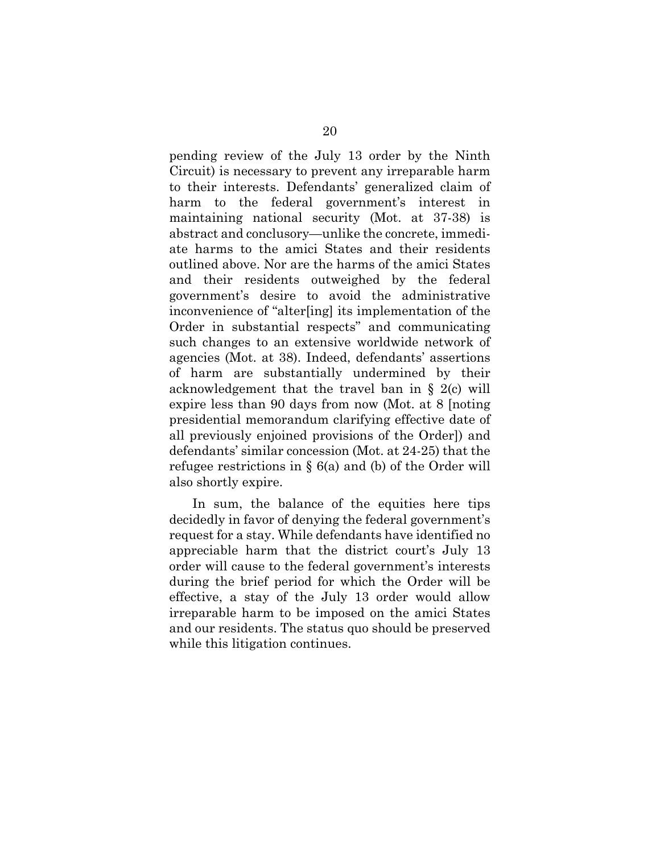pending review of the July 13 order by the Ninth Circuit) is necessary to prevent any irreparable harm to their interests. Defendants' generalized claim of harm to the federal government's interest in maintaining national security (Mot. at 37-38) is abstract and conclusory—unlike the concrete, immediate harms to the amici States and their residents outlined above. Nor are the harms of the amici States and their residents outweighed by the federal government's desire to avoid the administrative inconvenience of "alter[ing] its implementation of the Order in substantial respects" and communicating such changes to an extensive worldwide network of agencies (Mot. at 38). Indeed, defendants' assertions of harm are substantially undermined by their acknowledgement that the travel ban in § 2(c) will expire less than 90 days from now (Mot. at 8 [noting presidential memorandum clarifying effective date of all previously enjoined provisions of the Order]) and defendants' similar concession (Mot. at 24-25) that the refugee restrictions in § 6(a) and (b) of the Order will also shortly expire.

In sum, the balance of the equities here tips decidedly in favor of denying the federal government's request for a stay. While defendants have identified no appreciable harm that the district court's July 13 order will cause to the federal government's interests during the brief period for which the Order will be effective, a stay of the July 13 order would allow irreparable harm to be imposed on the amici States and our residents. The status quo should be preserved while this litigation continues.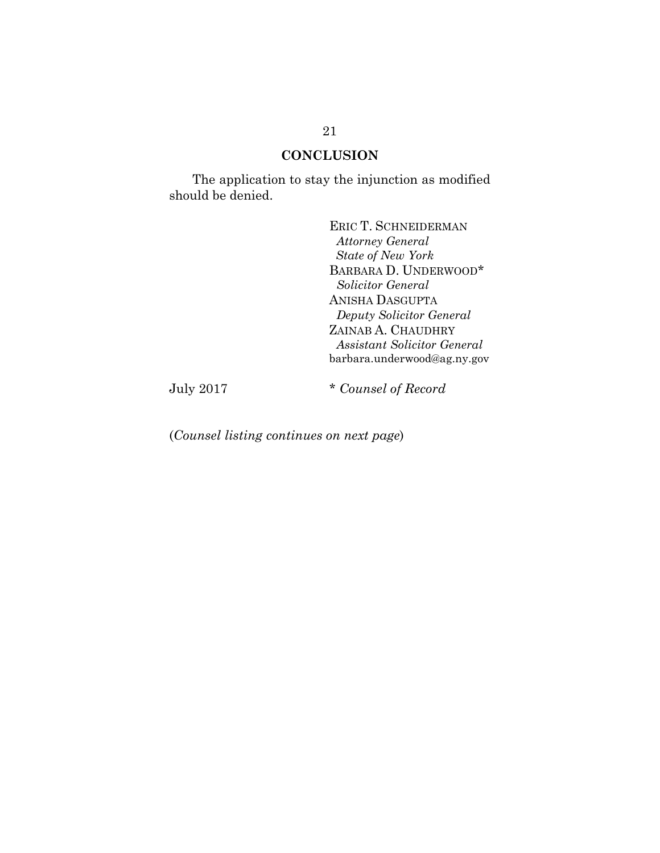#### **CONCLUSION**

The application to stay the injunction as modified should be denied.

> ERIC T. SCHNEIDERMAN  *Attorney General State of New York* BARBARA D. UNDERWOOD\* *Solicitor General* ANISHA DASGUPTA *Deputy Solicitor General*  ZAINAB A. CHAUDHRY *Assistant Solicitor General*  barbara.underwood@ag.ny.gov

July 2017 \* *Counsel of Record*

(*Counsel listing continues on next page*)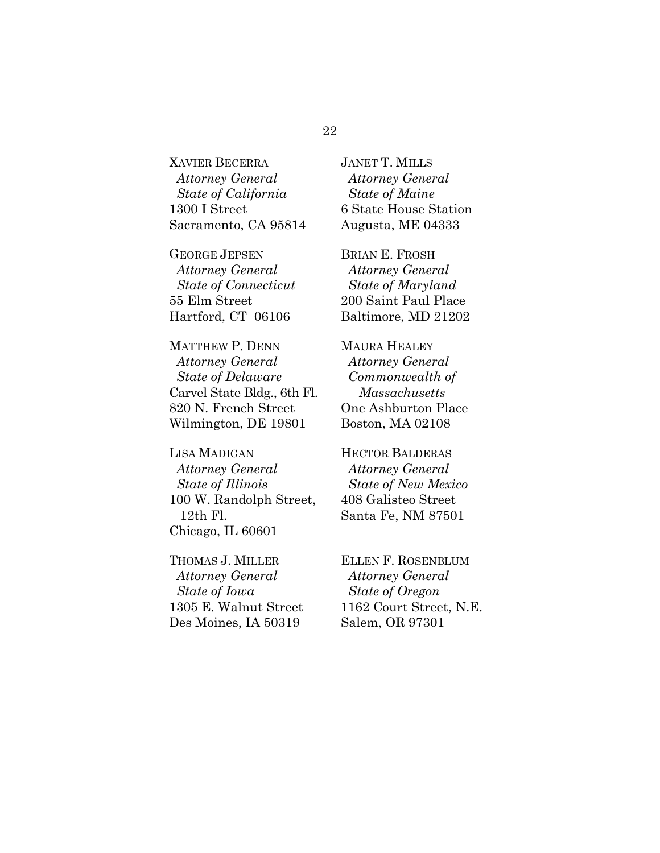XAVIER BECERRA *Attorney General State of California* 1300 I Street Sacramento, CA 95814

GEORGE JEPSEN *Attorney General State of Connecticut* 55 Elm Street Hartford, CT 06106

MATTHEW P. DENN *Attorney General State of Delaware* Carvel State Bldg., 6th Fl. 820 N. French Street Wilmington, DE 19801

LISA MADIGAN *Attorney General State of Illinois*  100 W. Randolph Street, 12th Fl. Chicago, IL 60601

THOMAS J. MILLER *Attorney General State of Iowa*  1305 E. Walnut Street Des Moines, IA 50319

JANET T. MILLS *Attorney General State of Maine* 6 State House Station Augusta, ME 04333

BRIAN E. FROSH *Attorney General State of Maryland* 200 Saint Paul Place Baltimore, MD 21202

MAURA HEALEY *Attorney General Commonwealth of Massachusetts* One Ashburton Place Boston, MA 02108

HECTOR BALDERAS *Attorney General State of New Mexico* 408 Galisteo Street Santa Fe, NM 87501

ELLEN F. ROSENBLUM *Attorney General State of Oregon* 1162 Court Street, N.E. Salem, OR 97301